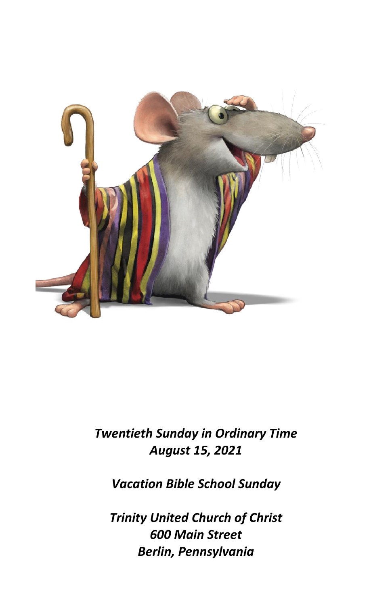

# *Twentieth Sunday in Ordinary Time August 15, 2021*

*Vacation Bible School Sunday*

*Trinity United Church of Christ 600 Main Street Berlin, Pennsylvania*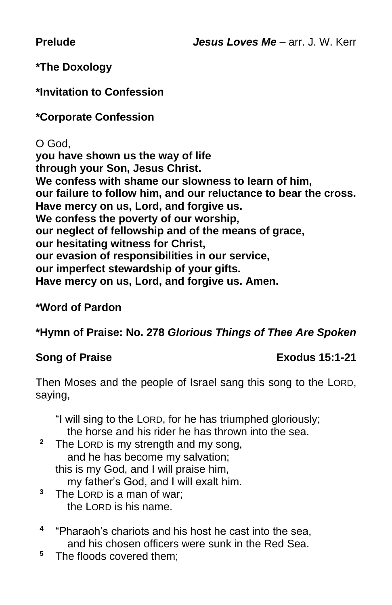**Prelude** *Jesus Loves Me* – arr. J. W. Kerr

# **\*The Doxology**

# **\*Invitation to Confession**

# **\*Corporate Confession**

O God, **you have shown us the way of life through your Son, Jesus Christ. We confess with shame our slowness to learn of him, our failure to follow him, and our reluctance to bear the cross. Have mercy on us, Lord, and forgive us. We confess the poverty of our worship, our neglect of fellowship and of the means of grace, our hesitating witness for Christ, our evasion of responsibilities in our service, our imperfect stewardship of your gifts. Have mercy on us, Lord, and forgive us. Amen.** 

# **\*Word of Pardon**

**\*Hymn of Praise: No. 278** *Glorious Things of Thee Are Spoken*

# **Song of Praise Exodus 15:1-21**

Then Moses and the people of Israel sang this song to the LORD, saying,

"I will sing to the LORD, for he has triumphed gloriously; the horse and his rider he has thrown into the sea.

- <sup>2</sup> The LORD is my strength and my song, and he has become my salvation; this is my God, and I will praise him, my father's God, and I will exalt him.
- **<sup>3</sup>** The LORD is a man of war; the LORD is his name.
- **4** "Pharaoh's chariots and his host he cast into the sea, and his chosen officers were sunk in the Red Sea.
- **<sup>5</sup>** The floods covered them;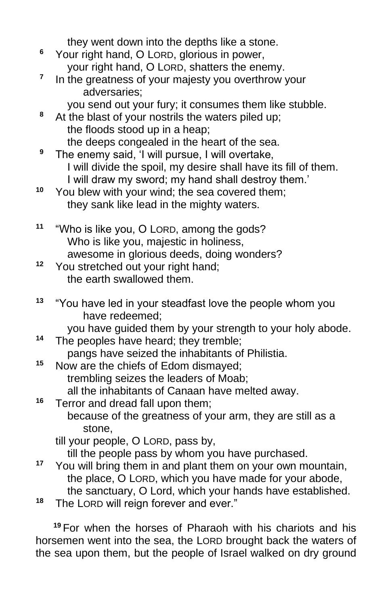they went down into the depths like a stone.

- **<sup>6</sup>** Your right hand, O LORD, glorious in power, your right hand, O LORD, shatters the enemy.
- **7** In the greatness of your majesty you overthrow your adversaries;
	- you send out your fury; it consumes them like stubble.
- **<sup>8</sup>** At the blast of your nostrils the waters piled up; the floods stood up in a heap; the deeps congealed in the heart of the sea.
- **<sup>9</sup>** The enemy said, 'I will pursue, I will overtake, I will divide the spoil, my desire shall have its fill of them. I will draw my sword; my hand shall destroy them.'
- **<sup>10</sup>** You blew with your wind; the sea covered them; they sank like lead in the mighty waters.
- **<sup>11</sup>** "Who is like you, O LORD, among the gods? Who is like you, majestic in holiness, awesome in glorious deeds, doing wonders?
- **<sup>12</sup>** You stretched out your right hand; the earth swallowed them.
- **<sup>13</sup>** "You have led in your steadfast love the people whom you have redeemed;

you have guided them by your strength to your holy abode. **<sup>14</sup>** The peoples have heard; they tremble;

- pangs have seized the inhabitants of Philistia.
- **<sup>15</sup>** Now are the chiefs of Edom dismayed; trembling seizes the leaders of Moab; all the inhabitants of Canaan have melted away.

**<sup>16</sup>** Terror and dread fall upon them; because of the greatness of your arm, they are still as a stone,

till your people, O LORD, pass by,

till the people pass by whom you have purchased.

- **<sup>17</sup>** You will bring them in and plant them on your own mountain, the place, O LORD, which you have made for your abode, the sanctuary, O Lord, which your hands have established.
- **<sup>18</sup>** The LORD will reign forever and ever."

**<sup>19</sup>** For when the horses of Pharaoh with his chariots and his horsemen went into the sea, the LORD brought back the waters of the sea upon them, but the people of Israel walked on dry ground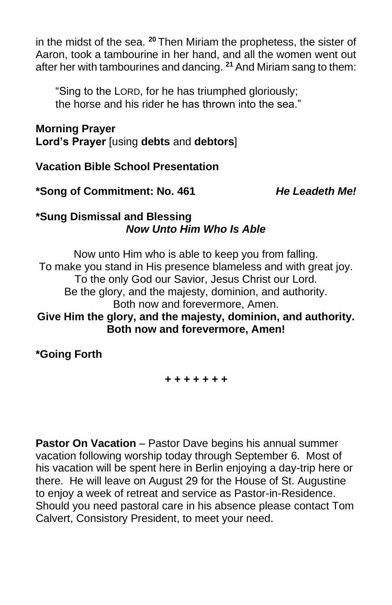in the midst of the sea. **<sup>20</sup>** Then Miriam the prophetess, the sister of Aaron, took a tambourine in her hand, and all the women went out after her with tambourines and dancing. **<sup>21</sup>** And Miriam sang to them:

"Sing to the LORD, for he has triumphed gloriously; the horse and his rider he has thrown into the sea."

# **Morning Prayer**

**Lord's Prayer** [using **debts** and **debtors**]

**Vacation Bible School Presentation**

**\*Song of Commitment: No. 461** *He Leadeth Me!*

#### **\*Sung Dismissal and Blessing** *Now Unto Him Who Is Able*

Now unto Him who is able to keep you from falling. To make you stand in His presence blameless and with great joy. To the only God our Savior, Jesus Christ our Lord. Be the glory, and the majesty, dominion, and authority. Both now and forevermore, Amen. **Give Him the glory, and the majesty, dominion, and authority. Both now and forevermore, Amen!**

**\*Going Forth**

#### *+ + + + + + +*

**Pastor On Vacation** – Pastor Dave begins his annual summer vacation following worship today through September 6. Most of his vacation will be spent here in Berlin enjoying a day-trip here or there. He will leave on August 29 for the House of St. Augustine to enjoy a week of retreat and service as Pastor-in-Residence. Should you need pastoral care in his absence please contact Tom Calvert, Consistory President, to meet your need.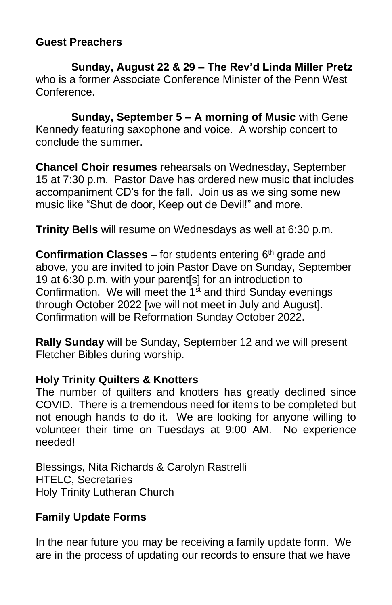### **Guest Preachers**

**Sunday, August 22 & 29 – The Rev'd Linda Miller Pretz** who is a former Associate Conference Minister of the Penn West Conference.

**Sunday, September 5 – A morning of Music** with Gene Kennedy featuring saxophone and voice. A worship concert to conclude the summer.

**Chancel Choir resumes** rehearsals on Wednesday, September 15 at 7:30 p.m. Pastor Dave has ordered new music that includes accompaniment CD's for the fall. Join us as we sing some new music like "Shut de door, Keep out de Devil!" and more.

**Trinity Bells** will resume on Wednesdays as well at 6:30 p.m.

**Confirmation Classes** – for students entering 6<sup>th</sup> grade and above, you are invited to join Pastor Dave on Sunday, September 19 at 6:30 p.m. with your parent[s] for an introduction to Confirmation. We will meet the 1<sup>st</sup> and third Sunday evenings through October 2022 [we will not meet in July and August]. Confirmation will be Reformation Sunday October 2022.

**Rally Sunday** will be Sunday, September 12 and we will present Fletcher Bibles during worship.

#### **Holy Trinity Quilters & Knotters**

The number of quilters and knotters has greatly declined since COVID. There is a tremendous need for items to be completed but not enough hands to do it. We are looking for anyone willing to volunteer their time on Tuesdays at 9:00 AM. No experience needed!

Blessings, Nita Richards & Carolyn Rastrelli HTELC, Secretaries Holy Trinity Lutheran Church

# **Family Update Forms**

In the near future you may be receiving a family update form. We are in the process of updating our records to ensure that we have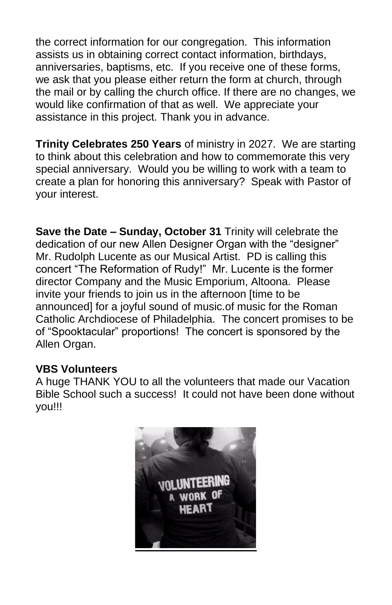the correct information for our congregation. This information assists us in obtaining correct contact information, birthdays, anniversaries, baptisms, etc. If you receive one of these forms, we ask that you please either return the form at church, through the mail or by calling the church office. If there are no changes, we would like confirmation of that as well. We appreciate your assistance in this project. Thank you in advance.

**Trinity Celebrates 250 Years** of ministry in 2027. We are starting to think about this celebration and how to commemorate this very special anniversary. Would you be willing to work with a team to create a plan for honoring this anniversary? Speak with Pastor of your interest.

**Save the Date – Sunday, October 31** Trinity will celebrate the dedication of our new Allen Designer Organ with the "designer" Mr. Rudolph Lucente as our Musical Artist. PD is calling this concert "The Reformation of Rudy!" Mr. Lucente is the former director Company and the Music Emporium, Altoona. Please invite your friends to join us in the afternoon [time to be announced] for a joyful sound of music.of music for the Roman Catholic Archdiocese of Philadelphia. The concert promises to be of "Spooktacular" proportions! The concert is sponsored by the Allen Organ.

#### **VBS Volunteers**

A huge THANK YOU to all the volunteers that made our Vacation Bible School such a success! It could not have been done without you!!!

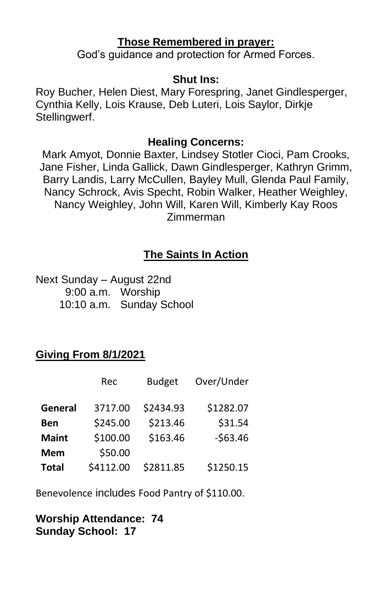#### **Those Remembered in prayer:**

God's guidance and protection for Armed Forces.

#### **Shut Ins:**

Roy Bucher, Helen Diest, Mary Forespring, Janet Gindlesperger, Cynthia Kelly, Lois Krause, Deb Luteri, Lois Saylor, Dirkje Stellingwerf.

#### **Healing Concerns:**

Mark Amyot, Donnie Baxter, Lindsey Stotler Cioci, Pam Crooks, Jane Fisher, Linda Gallick, Dawn Gindlesperger, Kathryn Grimm, Barry Landis, Larry McCullen, Bayley Mull, Glenda Paul Family, Nancy Schrock, Avis Specht, Robin Walker, Heather Weighley, Nancy Weighley, John Will, Karen Will, Kimberly Kay Roos Zimmerman

# **The Saints In Action**

Next Sunday – August 22nd 9:00 a.m. Worship 10:10 a.m. Sunday School

# **Giving From 8/1/2021**

|              | Rec       | <b>Budget</b> | Over/Under |
|--------------|-----------|---------------|------------|
| General      | 3717.00   | \$2434.93     | \$1282.07  |
| Ben          | \$245.00  | \$213.46      | \$31.54    |
| <b>Maint</b> | \$100.00  | \$163.46      | $-563.46$  |
| Mem          | \$50.00   |               |            |
| <b>Total</b> | \$4112.00 | \$2811.85     | \$1250.15  |

Benevolence includes Food Pantry of \$110.00.

### **Worship Attendance: 74 Sunday School: 17**